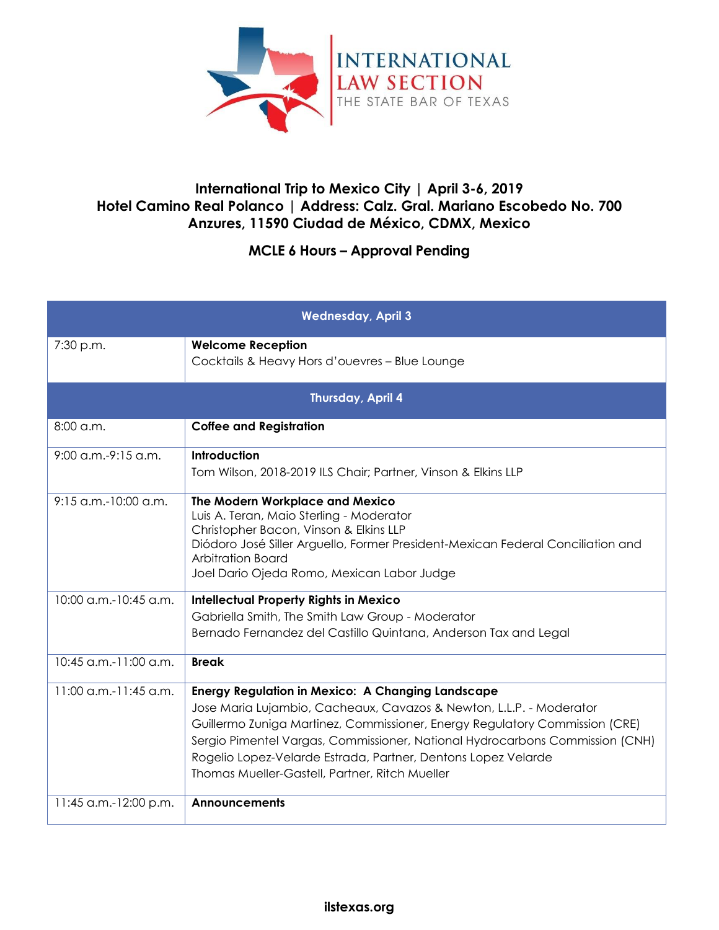

## **International Trip to Mexico City | April 3-6, 2019 Hotel Camino Real Polanco | Address: Calz. Gral. Mariano Escobedo No. 700 Anzures, 11590 Ciudad de México, CDMX, Mexico**

## **MCLE 6 Hours – Approval Pending**

| <b>Wednesday, April 3</b> |                                                                                                                                                                                                                                                                                                                                                                                                                   |  |
|---------------------------|-------------------------------------------------------------------------------------------------------------------------------------------------------------------------------------------------------------------------------------------------------------------------------------------------------------------------------------------------------------------------------------------------------------------|--|
| 7:30 p.m.                 | <b>Welcome Reception</b><br>Cocktails & Heavy Hors d'ouevres - Blue Lounge                                                                                                                                                                                                                                                                                                                                        |  |
| Thursday, April 4         |                                                                                                                                                                                                                                                                                                                                                                                                                   |  |
| $8:00$ a.m.               | <b>Coffee and Registration</b>                                                                                                                                                                                                                                                                                                                                                                                    |  |
| $9:00$ a.m.- $9:15$ a.m.  | Introduction<br>Tom Wilson, 2018-2019 ILS Chair; Partner, Vinson & Elkins LLP                                                                                                                                                                                                                                                                                                                                     |  |
| $9:15$ a.m.-10:00 a.m.    | The Modern Workplace and Mexico<br>Luis A. Teran, Maio Sterling - Moderator<br>Christopher Bacon, Vinson & Elkins LLP<br>Diódoro José Siller Arguello, Former President-Mexican Federal Conciliation and<br><b>Arbitration Board</b><br>Joel Dario Ojeda Romo, Mexican Labor Judge                                                                                                                                |  |
| 10:00 a.m.-10:45 a.m.     | <b>Intellectual Property Rights in Mexico</b><br>Gabriella Smith, The Smith Law Group - Moderator<br>Bernado Fernandez del Castillo Quintana, Anderson Tax and Legal                                                                                                                                                                                                                                              |  |
| 10:45 a.m.-11:00 a.m.     | <b>Break</b>                                                                                                                                                                                                                                                                                                                                                                                                      |  |
| $11:00$ a.m.-11:45 a.m.   | <b>Energy Regulation in Mexico: A Changing Landscape</b><br>Jose Maria Lujambio, Cacheaux, Cavazos & Newton, L.L.P. - Moderator<br>Guillermo Zuniga Martinez, Commissioner, Energy Regulatory Commission (CRE)<br>Sergio Pimentel Vargas, Commissioner, National Hydrocarbons Commission (CNH)<br>Rogelio Lopez-Velarde Estrada, Partner, Dentons Lopez Velarde<br>Thomas Mueller-Gastell, Partner, Ritch Mueller |  |
| 11:45 a.m.-12:00 p.m.     | Announcements                                                                                                                                                                                                                                                                                                                                                                                                     |  |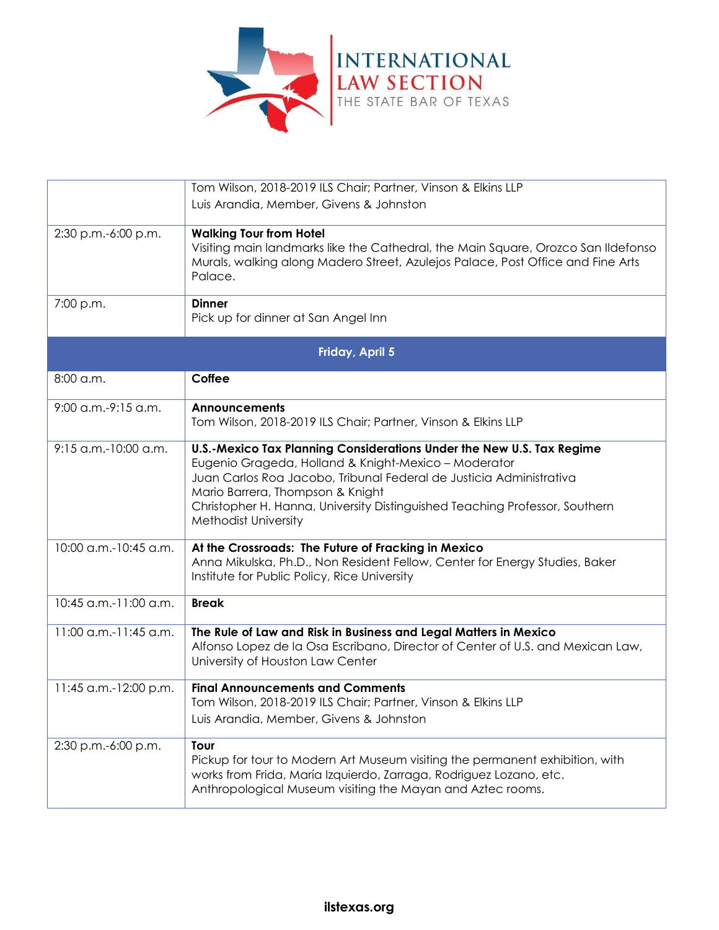

|                        | Tom Wilson, 2018-2019 ILS Chair; Partner, Vinson & Elkins LLP                                                                                                                                                                                                                                                                                   |  |
|------------------------|-------------------------------------------------------------------------------------------------------------------------------------------------------------------------------------------------------------------------------------------------------------------------------------------------------------------------------------------------|--|
|                        | Luis Arandia, Member, Givens & Johnston                                                                                                                                                                                                                                                                                                         |  |
| 2:30 p.m.-6:00 p.m.    | <b>Walking Tour from Hotel</b><br>Visiting main landmarks like the Cathedral, the Main Square, Orozco San Ildefonso<br>Murals, walking along Madero Street, Azulejos Palace, Post Office and Fine Arts<br>Palace.                                                                                                                               |  |
| 7:00 p.m.              | <b>Dinner</b><br>Pick up for dinner at San Angel Inn                                                                                                                                                                                                                                                                                            |  |
| Friday, April 5        |                                                                                                                                                                                                                                                                                                                                                 |  |
| 8:00 a.m.              | Coffee                                                                                                                                                                                                                                                                                                                                          |  |
| 9:00 a.m.-9:15 a.m.    | <b>Announcements</b><br>Tom Wilson, 2018-2019 ILS Chair; Partner, Vinson & Elkins LLP                                                                                                                                                                                                                                                           |  |
| $9:15$ a.m.-10:00 a.m. | U.S.-Mexico Tax Planning Considerations Under the New U.S. Tax Regime<br>Eugenio Grageda, Holland & Knight-Mexico - Moderator<br>Juan Carlos Roa Jacobo, Tribunal Federal de Justicia Administrativa<br>Mario Barrera, Thompson & Knight<br>Christopher H. Hanna, University Distinguished Teaching Professor, Southern<br>Methodist University |  |
| 10:00 a.m.-10:45 a.m.  | At the Crossroads: The Future of Fracking in Mexico<br>Anna Mikulska, Ph.D., Non Resident Fellow, Center for Energy Studies, Baker<br>Institute for Public Policy, Rice University                                                                                                                                                              |  |
| 10:45 a.m.-11:00 a.m.  | <b>Break</b>                                                                                                                                                                                                                                                                                                                                    |  |
| 11:00 a.m.-11:45 a.m.  | The Rule of Law and Risk in Business and Legal Matters in Mexico<br>Alfonso Lopez de la Osa Escribano, Director of Center of U.S. and Mexican Law,<br>University of Houston Law Center                                                                                                                                                          |  |
| 11:45 a.m.-12:00 p.m.  | <b>Final Announcements and Comments</b><br>Tom Wilson, 2018-2019 ILS Chair; Partner, Vinson & Elkins LLP<br>Luis Arandia, Member, Givens & Johnston                                                                                                                                                                                             |  |
| 2:30 p.m.-6:00 p.m.    | Tour<br>Pickup for tour to Modern Art Museum visiting the permanent exhibition, with<br>works from Frida, María Izquierdo, Zarraga, Rodriguez Lozano, etc.<br>Anthropological Museum visiting the Mayan and Aztec rooms.                                                                                                                        |  |